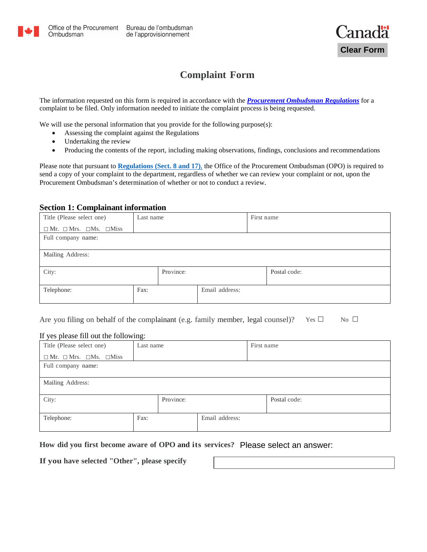

# **Complaint Form**

The information requested on this form is required in accordance with the *[Procurement Ombudsman Regulations](http://laws-lois.justice.gc.ca/eng/regulations/SOR-2008-143/page-1.html)* for a complaint to be filed. Only information needed to initiate the complaint process is being requested.

We will use the personal information that you provide for the following purpose(s):

- Assessing the complaint against the Regulations
- Undertaking the review
- Producing the contents of the report, including making observations, findings, conclusions and recommendations

Please note that pursuant to **[Regulations \(Sect. 8 and 17\)](http://laws-lois.justice.gc.ca/eng/regulations/SOR-2008-143/page-1.html)**, the Office of the Procurement Ombudsman (OPO) is required to send a copy of your complaint to the department, regardless of whether we can review your complaint or not, upon the Procurement Ombudsman's determination of whether or not to conduct a review.

### **Section 1: Complainant information**

| Title (Please select one)                     | Last name |           |                | First name |              |
|-----------------------------------------------|-----------|-----------|----------------|------------|--------------|
| $\Box$ Mr. $\Box$ Mrs. $\Box$ Ms. $\Box$ Miss |           |           |                |            |              |
| Full company name:                            |           |           |                |            |              |
|                                               |           |           |                |            |              |
| Mailing Address:                              |           |           |                |            |              |
| City:                                         |           | Province: |                |            | Postal code: |
| Telephone:                                    | Fax:      |           | Email address: |            |              |

Are you filing on behalf of the complainant (e.g. family member, legal counsel)? Yes  $\Box$  No  $\Box$ 

### If yes please fill out the following:

| Title (Please select one)                     | Last name |           |                | First name |              |
|-----------------------------------------------|-----------|-----------|----------------|------------|--------------|
| $\Box$ Mr. $\Box$ Mrs. $\Box$ Ms. $\Box$ Miss |           |           |                |            |              |
| Full company name:                            |           |           |                |            |              |
|                                               |           |           |                |            |              |
| Mailing Address:                              |           |           |                |            |              |
|                                               |           |           |                |            |              |
| City:                                         |           | Province: |                |            | Postal code: |
|                                               | Fax:      |           | Email address: |            |              |
| Telephone:                                    |           |           |                |            |              |
|                                               |           |           |                |            |              |

**How did you first become aware of OPO and its services? Please select an answer** Please select an answer:

**If you have selected "Other", please specify**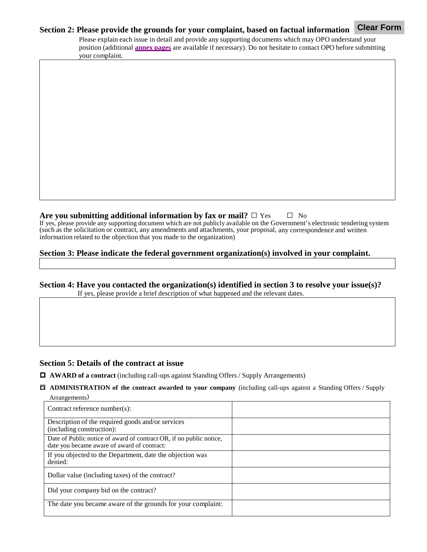#### **Section 2: Please provide the grounds for your complaint, based on factual information Clear Form**

Please explain each issue in detail and provide any supporting documents which may OPO understand your position (additional **[annex pages](http://opo-boa.gc.ca/documents/plainte-complaint-ann-eng.pdf)** are available if necessary). Do not hesitate to contact OPO before submitting your complaint.

### **Are you submitting additional information by fax or mail?**  $\Box$  Yes  $\Box$  No

If yes, please provide any supporting document which are not publicly available on the Government's electronic tendering system (such as the solicitation or contract, any amendments and attachments, your proposal, any correspondence and written information related to the objection that you made to the organization)

# **Section 3: Please indicate the federal government organization(s) involved in your complaint.**

# **Section 4: Have you contacted the organization(s) identified in section 3 to resolve your issue(s)?** If yes, please provide a brief description of what happened and the relevant dates.

# **Section 5: Details of the contract at issue**

□ **AWARD of a contract** (including call-ups against Standing Offers / Supply Arrangements)

□ **ADMINISTRATION of the contract awarded to your company** (including call-ups against a Standing Offers / Supply Arrangements)

| Contract reference number(s):                                                                                      |  |
|--------------------------------------------------------------------------------------------------------------------|--|
| Description of the required goods and/or services<br>(including construction):                                     |  |
| Date of Public notice of award of contract OR, if no public notice,<br>date you became aware of award of contract: |  |
| If you objected to the Department, date the objection was<br>denied:                                               |  |
| Dollar value (including taxes) of the contract?                                                                    |  |
| Did your company bid on the contract?                                                                              |  |
| The date you became aware of the grounds for your complaint:                                                       |  |